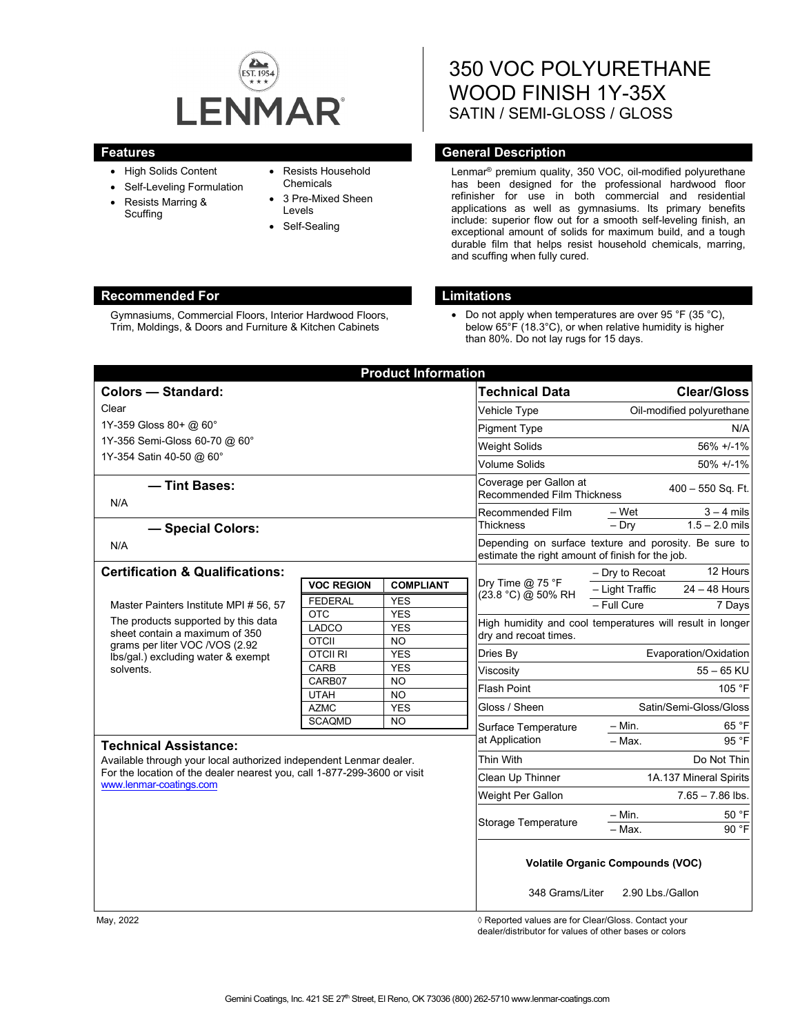

- High Solids Content
- Self-Leveling Formulation
- Resists Marring & Scuffing
- Resists Household **Chemicals**
- 3 Pre-Mixed Sheen Levels
- Self-Sealing

# 350 VOC POLYURETHANE WOOD FINISH 1Y-35X SATIN / SEMI-GLOSS / GLOSS

# **Features Features General Description**

Lenmar® premium quality, 350 VOC, oil-modified polyurethane has been designed for the professional hardwood floor refinisher for use in both commercial and residential applications as well as gymnasiums. Its primary benefits include: superior flow out for a smooth self-leveling finish, an exceptional amount of solids for maximum build, and a tough durable film that helps resist household chemicals, marring, and scuffing when fully cured.

# **Recommended For Limitations**

Gymnasiums, Commercial Floors, Interior Hardwood Floors, Trim, Moldings, & Doors and Furniture & Kitchen Cabinets

• Do not apply when temperatures are over 95 °F (35 °C), below 65°F (18.3°C), or when relative humidity is higher than 80%. Do not lay rugs for 15 days.

| <b>Product Information</b>                                                                                                                                                              |                       |                  |                                                                                                           |                                                           |
|-----------------------------------------------------------------------------------------------------------------------------------------------------------------------------------------|-----------------------|------------------|-----------------------------------------------------------------------------------------------------------|-----------------------------------------------------------|
| <b>Colors - Standard:</b>                                                                                                                                                               |                       |                  | <b>Technical Data</b>                                                                                     | <b>Clear/Gloss</b>                                        |
| Clear                                                                                                                                                                                   |                       |                  | Vehicle Type                                                                                              | Oil-modified polyurethane                                 |
| 1Y-359 Gloss 80+ @ 60°                                                                                                                                                                  |                       |                  | <b>Pigment Type</b>                                                                                       | N/A                                                       |
| 1Y-356 Semi-Gloss 60-70 @ 60°                                                                                                                                                           |                       |                  | <b>Weight Solids</b>                                                                                      | 56% +/-1%                                                 |
| 1Y-354 Satin 40-50 @ 60°                                                                                                                                                                |                       |                  | <b>Volume Solids</b>                                                                                      | $50\% +1.1\%$                                             |
|                                                                                                                                                                                         |                       |                  |                                                                                                           |                                                           |
| - Tint Bases:<br>N/A                                                                                                                                                                    |                       |                  | Coverage per Gallon at<br><b>Recommended Film Thickness</b>                                               | 400 - 550 Sq. Ft.                                         |
|                                                                                                                                                                                         |                       |                  | Recommended Film                                                                                          | – Wet<br>$3 - 4$ mils                                     |
| - Special Colors:                                                                                                                                                                       |                       |                  | Thickness                                                                                                 | $1.5 - 2.0$ mils<br>$-$ Dry                               |
| N/A                                                                                                                                                                                     |                       |                  | Depending on surface texture and porosity. Be sure to<br>estimate the right amount of finish for the job. |                                                           |
| <b>Certification &amp; Qualifications:</b>                                                                                                                                              |                       |                  |                                                                                                           | 12 Hours<br>- Dry to Recoat                               |
|                                                                                                                                                                                         | <b>VOC REGION</b>     | <b>COMPLIANT</b> | Dry Time $@$ 75 °F<br>(23.8 °C) @ 50% RH                                                                  | $24 - 48$ Hours<br>- Light Traffic                        |
| Master Painters Institute MPI # 56, 57<br>The products supported by this data<br>sheet contain a maximum of 350<br>grams per liter VOC /VOS (2.92<br>Ibs/gal.) excluding water & exempt | <b>FEDERAL</b>        | <b>YES</b>       |                                                                                                           | - Full Cure<br>7 Days                                     |
|                                                                                                                                                                                         | <b>OTC</b>            | <b>YES</b>       |                                                                                                           | High humidity and cool temperatures will result in longer |
|                                                                                                                                                                                         | LADCO<br><b>OTCII</b> | <b>YES</b><br>NO | dry and recoat times.                                                                                     |                                                           |
|                                                                                                                                                                                         | <b>OTCII RI</b>       | <b>YES</b>       | Dries By                                                                                                  | Evaporation/Oxidation                                     |
| solvents.                                                                                                                                                                               | CARB                  | <b>YES</b>       | Viscosity                                                                                                 | $55 - 65$ KU                                              |
|                                                                                                                                                                                         | CARB07                | <b>NO</b>        | Flash Point                                                                                               | 105 °F                                                    |
|                                                                                                                                                                                         | <b>UTAH</b>           | <b>NO</b>        |                                                                                                           |                                                           |
|                                                                                                                                                                                         | <b>AZMC</b>           | <b>YES</b>       | Gloss / Sheen                                                                                             | Satin/Semi-Gloss/Gloss                                    |
|                                                                                                                                                                                         | <b>SCAQMD</b>         | <b>NO</b>        | Surface Temperature                                                                                       | 65 °F<br>- Min.                                           |
| <b>Technical Assistance:</b>                                                                                                                                                            |                       |                  | at Application                                                                                            | 95 °F<br>- Max.                                           |
| Available through your local authorized independent Lenmar dealer.                                                                                                                      |                       |                  | Thin With                                                                                                 | Do Not Thin                                               |
| For the location of the dealer nearest you, call 1-877-299-3600 or visit                                                                                                                |                       |                  | Clean Up Thinner                                                                                          | 1A.137 Mineral Spirits                                    |
| www.lenmar-coatings.com                                                                                                                                                                 |                       |                  | Weight Per Gallon                                                                                         | $7.65 - 7.86$ lbs.                                        |
|                                                                                                                                                                                         |                       |                  | Storage Temperature                                                                                       | 50 °F<br>– Min.                                           |
|                                                                                                                                                                                         |                       |                  |                                                                                                           | 90 °F<br>- Max.                                           |
|                                                                                                                                                                                         |                       |                  | <b>Volatile Organic Compounds (VOC)</b><br>348 Grams/Liter<br>2.90 Lbs./Gallon                            |                                                           |

May, 2022 *May, 2022 Reported values are for Clear/Gloss. Contact your* dealer/distributor for values of other bases or colors